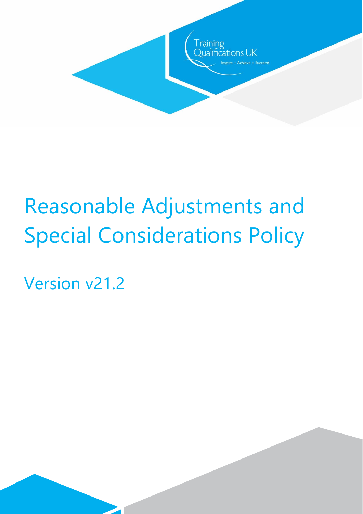

Version v21.2

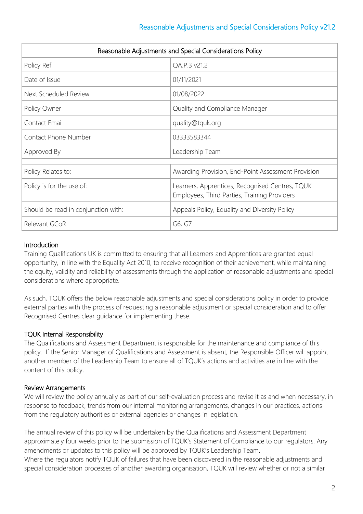| Reasonable Adjustments and Special Considerations Policy |                                                                                                 |  |
|----------------------------------------------------------|-------------------------------------------------------------------------------------------------|--|
| Policy Ref                                               | QA.P.3 v21.2                                                                                    |  |
| Date of Issue                                            | 01/11/2021                                                                                      |  |
| Next Scheduled Review                                    | 01/08/2022                                                                                      |  |
| Policy Owner                                             | Quality and Compliance Manager                                                                  |  |
| Contact Email                                            | quality@tquk.org                                                                                |  |
| Contact Phone Number                                     | 03333583344                                                                                     |  |
| Approved By                                              | Leadership Team                                                                                 |  |
| Policy Relates to:                                       | Awarding Provision, End-Point Assessment Provision                                              |  |
| Policy is for the use of:                                | Learners, Apprentices, Recognised Centres, TQUK<br>Employees, Third Parties, Training Providers |  |
| Should be read in conjunction with:                      | Appeals Policy, Equality and Diversity Policy                                                   |  |
| Relevant GCoR                                            | G6, G7                                                                                          |  |

#### **Introduction**

Training Qualifications UK is committed to ensuring that all Learners and Apprentices are granted equal opportunity, in line with the Equality Act 2010, to receive recognition of their achievement, while maintaining the equity, validity and reliability of assessments through the application of reasonable adjustments and special considerations where appropriate.

As such, TQUK offers the below reasonable adjustments and special considerations policy in order to provide external parties with the process of requesting a reasonable adjustment or special consideration and to offer Recognised Centres clear guidance for implementing these.

## TQUK Internal Responsibility

The Qualifications and Assessment Department is responsible for the maintenance and compliance of this policy. If the Senior Manager of Qualifications and Assessment is absent, the Responsible Officer will appoint another member of the Leadership Team to ensure all of TQUK's actions and activities are in line with the content of this policy.

#### Review Arrangements

We will review the policy annually as part of our self-evaluation process and revise it as and when necessary, in response to feedback, trends from our internal monitoring arrangements, changes in our practices, actions from the regulatory authorities or external agencies or changes in legislation.

The annual review of this policy will be undertaken by the Qualifications and Assessment Department approximately four weeks prior to the submission of TQUK's Statement of Compliance to our regulators. Any amendments or updates to this policy will be approved by TQUK's Leadership Team. Where the regulators notify TQUK of failures that have been discovered in the reasonable adjustments and special consideration processes of another awarding organisation, TQUK will review whether or not a similar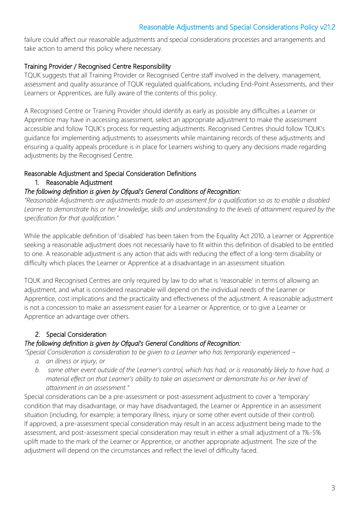failure could affect our reasonable adjustments and special considerations processes and arrangements and take action to amend this policy where necessary.

#### Training Provider / Recognised Centre Responsibility

TQUK suggests that all Training Provider or Recognised Centre staff involved in the delivery, management, assessment and quality assurance of TQUK regulated qualifications, including End-Point Assessments, and their Learners or Apprentices, are fully aware of the contents of this policy.

A Recognised Centre or Training Provider should identify as early as possible any difficulties a Learner or Apprentice may have in accessing assessment, select an appropriate adjustment to make the assessment accessible and follow TQUK's process for requesting adjustments. Recognised Centres should follow TQUK's guidance for implementing adjustments to assessments while maintaining records of these adjustments and ensuring a quality appeals procedure is in place for Learners wishing to query any decisions made regarding adjustments by the Recognised Centre.

#### Reasonable Adjustment and Special Consideration Definitions

1. Reasonable Adjustment

#### *The following definition is given by Ofqual's General Conditions of Recognition:*

*"Reasonable Adjustments are adjustments made to an assessment for a qualification so as to enable a disabled Learner to demonstrate his or her knowledge, skills and understanding to the levels of attainment required by the specification for that qualification."*

While the applicable definition of 'disabled' has been taken from the Equality Act 2010, a Learner or Apprentice seeking a reasonable adjustment does not necessarily have to fit within this definition of disabled to be entitled to one. A reasonable adjustment is any action that aids with reducing the effect of a long-term disability or difficulty which places the Learner or Apprentice at a disadvantage in an assessment situation.

TQUK and Recognised Centres are only required by law to do what is 'reasonable' in terms of allowing an adjustment, and what is considered reasonable will depend on the individual needs of the Learner or Apprentice, cost implications and the practicality and effectiveness of the adjustment. A reasonable adjustment is not a concession to make an assessment easier for a Learner or Apprentice, or to give a Learner or Apprentice an advantage over others.

#### 2. Special Consideration

#### *The following definition is given by Ofqual's General Conditions of Recognition:*

*"Special Consideration is consideration to be given to a Learner who has temporarily experienced –*

- *a. an illness or injury, or*
- *b. some other event outside of the Learner's control, which has had, or is reasonably likely to have had, a material effect on that Learner's ability to take an assessment or demonstrate his or her level of attainment in an assessment."*

Special considerations can be a pre-assessment or post-assessment adjustment to cover a 'temporary' condition that may disadvantage, or may have disadvantaged, the Learner or Apprentice in an assessment situation (including, for example; a temporary illness, injury or some other event outside of their control). If approved, a pre-assessment special consideration may result in an access adjustment being made to the assessment, and post-assessment special consideration may result in either a small adjustment of a 1%-5% uplift made to the mark of the Learner or Apprentice, or another appropriate adjustment. The size of the adjustment will depend on the circumstances and reflect the level of difficulty faced.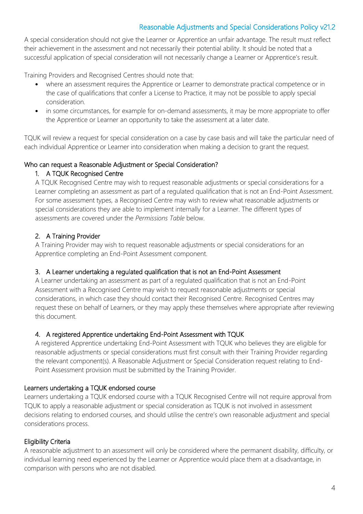A special consideration should not give the Learner or Apprentice an unfair advantage. The result must reflect their achievement in the assessment and not necessarily their potential ability. It should be noted that a successful application of special consideration will not necessarily change a Learner or Apprentice's result.

Training Providers and Recognised Centres should note that:

- where an assessment requires the Apprentice or Learner to demonstrate practical competence or in the case of qualifications that confer a License to Practice, it may not be possible to apply special consideration.
- in some circumstances, for example for on-demand assessments, it may be more appropriate to offer the Apprentice or Learner an opportunity to take the assessment at a later date.

TQUK will review a request for special consideration on a case by case basis and will take the particular need of each individual Apprentice or Learner into consideration when making a decision to grant the request.

#### Who can request a Reasonable Adjustment or Special Consideration?

#### 1. A TQUK Recognised Centre

A TQUK Recognised Centre may wish to request reasonable adjustments or special considerations for a Learner completing an assessment as part of a regulated qualification that is not an End-Point Assessment. For some assessment types, a Recognised Centre may wish to review what reasonable adjustments or special considerations they are able to implement internally for a Learner. The different types of assessments are covered under the *Permissions Table* below.

#### 2. A Training Provider

A Training Provider may wish to request reasonable adjustments or special considerations for an Apprentice completing an End-Point Assessment component.

#### 3. A Learner undertaking a regulated qualification that is not an End-Point Assessment

A Learner undertaking an assessment as part of a regulated qualification that is not an End-Point Assessment with a Recognised Centre may wish to request reasonable adjustments or special considerations, in which case they should contact their Recognised Centre. Recognised Centres may request these on behalf of Learners, or they may apply these themselves where appropriate after reviewing this document.

#### 4. A registered Apprentice undertaking End-Point Assessment with TQUK

A registered Apprentice undertaking End-Point Assessment with TQUK who believes they are eligible for reasonable adjustments or special considerations must first consult with their Training Provider regarding the relevant component(s). A Reasonable Adjustment or Special Consideration request relating to End-Point Assessment provision must be submitted by the Training Provider.

#### Learners undertaking a TQUK endorsed course

Learners undertaking a TQUK endorsed course with a TQUK Recognised Centre will not require approval from TQUK to apply a reasonable adjustment or special consideration as TQUK is not involved in assessment decisions relating to endorsed courses, and should utilise the centre's own reasonable adjustment and special considerations process.

#### Eligibility Criteria

A reasonable adjustment to an assessment will only be considered where the permanent disability, difficulty, or individual learning need experienced by the Learner or Apprentice would place them at a disadvantage, in comparison with persons who are not disabled.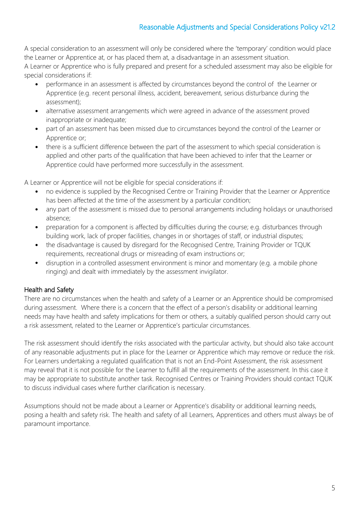A special consideration to an assessment will only be considered where the 'temporary' condition would place the Learner or Apprentice at, or has placed them at, a disadvantage in an assessment situation.

A Learner or Apprentice who is fully prepared and present for a scheduled assessment may also be eligible for special considerations if:

- performance in an assessment is affected by circumstances beyond the control of the Learner or Apprentice (e.g. recent personal illness, accident, bereavement, serious disturbance during the assessment);
- alternative assessment arrangements which were agreed in advance of the assessment proved inappropriate or inadequate;
- part of an assessment has been missed due to circumstances beyond the control of the Learner or Apprentice or;
- there is a sufficient difference between the part of the assessment to which special consideration is applied and other parts of the qualification that have been achieved to infer that the Learner or Apprentice could have performed more successfully in the assessment.

A Learner or Apprentice will not be eligible for special considerations if:

- no evidence is supplied by the Recognised Centre or Training Provider that the Learner or Apprentice has been affected at the time of the assessment by a particular condition;
- any part of the assessment is missed due to personal arrangements including holidays or unauthorised absence;
- preparation for a component is affected by difficulties during the course; e.g. disturbances through building work, lack of proper facilities, changes in or shortages of staff, or industrial disputes;
- the disadvantage is caused by disregard for the Recognised Centre, Training Provider or TQUK requirements, recreational drugs or misreading of exam instructions or;
- disruption in a controlled assessment environment is minor and momentary (e.g. a mobile phone ringing) and dealt with immediately by the assessment invigilator.

#### Health and Safety

There are no circumstances when the health and safety of a Learner or an Apprentice should be compromised during assessment. Where there is a concern that the effect of a person's disability or additional learning needs may have health and safety implications for them or others, a suitably qualified person should carry out a risk assessment, related to the Learner or Apprentice's particular circumstances.

The risk assessment should identify the risks associated with the particular activity, but should also take account of any reasonable adjustments put in place for the Learner or Apprentice which may remove or reduce the risk. For Learners undertaking a regulated qualification that is not an End-Point Assessment, the risk assessment may reveal that it is not possible for the Learner to fulfill all the requirements of the assessment. In this case it may be appropriate to substitute another task. Recognised Centres or Training Providers should contact TQUK to discuss individual cases where further clarification is necessary.

Assumptions should not be made about a Learner or Apprentice's disability or additional learning needs, posing a health and safety risk. The health and safety of all Learners, Apprentices and others must always be of paramount importance.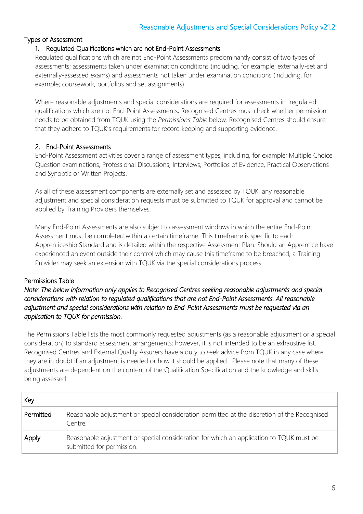#### Types of Assessment

#### 1. Regulated Qualifications which are not End-Point Assessments

Regulated qualifications which are not End-Point Assessments predominantly consist of two types of assessments; assessments taken under examination conditions (including, for example; externally-set and externally-assessed exams) and assessments not taken under examination conditions (including, for example; coursework, portfolios and set assignments).

Where reasonable adjustments and special considerations are required for assessments in regulated qualifications which are not End-Point Assessments, Recognised Centres must check whether permission needs to be obtained from TQUK using the *Permissions Table* below. Recognised Centres should ensure that they adhere to TQUK's requirements for record keeping and supporting evidence.

#### 2. End-Point Assessments

End-Point Assessment activities cover a range of assessment types, including, for example; Multiple Choice Question examinations, Professional Discussions, Interviews, Portfolios of Evidence, Practical Observations and Synoptic or Written Projects.

As all of these assessment components are externally set and assessed by TQUK, any reasonable adjustment and special consideration requests must be submitted to TQUK for approval and cannot be applied by Training Providers themselves.

Many End-Point Assessments are also subject to assessment windows in which the entire End-Point Assessment must be completed within a certain timeframe. This timeframe is specific to each Apprenticeship Standard and is detailed within the respective Assessment Plan. Should an Apprentice have experienced an event outside their control which may cause this timeframe to be breached, a Training Provider may seek an extension with TQUK via the special considerations process.

#### Permissions Table

#### *Note: The below information only applies to Recognised Centres seeking reasonable adjustments and special considerations with relation to regulated qualifications that are not End-Point Assessments. All reasonable adjustment and special considerations with relation to End-Point Assessments must be requested via an application to TQUK for permission.*

The Permissions Table lists the most commonly requested adjustments (as a reasonable adjustment or a special consideration) to standard assessment arrangements; however, it is not intended to be an exhaustive list. Recognised Centres and External Quality Assurers have a duty to seek advice from TQUK in any case where they are in doubt if an adjustment is needed or how it should be applied. Please note that many of these adjustments are dependent on the content of the Qualification Specification and the knowledge and skills being assessed.

| Key       |                                                                                                                      |
|-----------|----------------------------------------------------------------------------------------------------------------------|
| Permitted | Reasonable adjustment or special consideration permitted at the discretion of the Recognised<br>Centre.              |
| Apply     | Reasonable adjustment or special consideration for which an application to TQUK must be<br>submitted for permission. |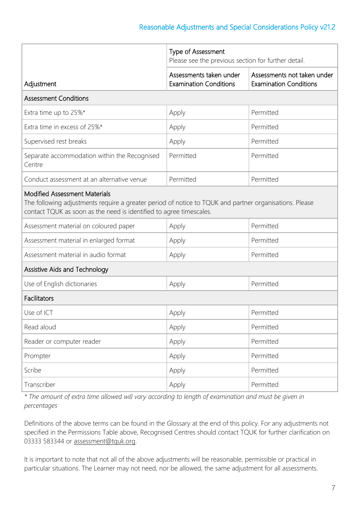|                                                                                                                                                                                                                       | Type of Assessment<br>Please see the previous section for further detail. |                                                              |  |  |
|-----------------------------------------------------------------------------------------------------------------------------------------------------------------------------------------------------------------------|---------------------------------------------------------------------------|--------------------------------------------------------------|--|--|
| Adjustment                                                                                                                                                                                                            | Assessments taken under<br><b>Examination Conditions</b>                  | Assessments not taken under<br><b>Examination Conditions</b> |  |  |
| <b>Assessment Conditions</b>                                                                                                                                                                                          |                                                                           |                                                              |  |  |
| Extra time up to 25%*                                                                                                                                                                                                 | Apply                                                                     | Permitted                                                    |  |  |
| Extra time in excess of 25%*                                                                                                                                                                                          | Apply                                                                     | Permitted                                                    |  |  |
| Supervised rest breaks                                                                                                                                                                                                | Apply                                                                     | Permitted                                                    |  |  |
| Separate accommodation within the Recognised<br>Centre                                                                                                                                                                | Permitted                                                                 | Permitted                                                    |  |  |
| Conduct assessment at an alternative venue                                                                                                                                                                            | Permitted                                                                 | Permitted                                                    |  |  |
| <b>Modified Assessment Materials</b><br>The following adjustments require a greater period of notice to TQUK and partner organisations. Please<br>contact TQUK as soon as the need is identified to agree timescales. |                                                                           |                                                              |  |  |
| Assessment material on coloured paper                                                                                                                                                                                 | Apply                                                                     | Permitted                                                    |  |  |
| Assessment material in enlarged format                                                                                                                                                                                | Apply                                                                     | Permitted                                                    |  |  |
| Assessment material in audio format                                                                                                                                                                                   | Apply                                                                     | Permitted                                                    |  |  |
| Assistive Aids and Technology                                                                                                                                                                                         |                                                                           |                                                              |  |  |
| Use of English dictionaries                                                                                                                                                                                           | Apply                                                                     | Permitted                                                    |  |  |
| Facilitators                                                                                                                                                                                                          |                                                                           |                                                              |  |  |
| Use of ICT                                                                                                                                                                                                            | Apply                                                                     | Permitted                                                    |  |  |
| Read aloud                                                                                                                                                                                                            | Apply                                                                     | Permitted                                                    |  |  |
| Reader or computer reader                                                                                                                                                                                             | Apply                                                                     | Permitted                                                    |  |  |
| Prompter                                                                                                                                                                                                              | Apply                                                                     | Permitted                                                    |  |  |
| Scribe                                                                                                                                                                                                                | Apply                                                                     | Permitted                                                    |  |  |
| Transcriber                                                                                                                                                                                                           | Apply                                                                     | Permitted                                                    |  |  |

*\* The amount of extra time allowed will vary according to length of examination and must be given in percentages*

Definitions of the above terms can be found in the Glossary at the end of this policy. For any adjustments not specified in the Permissions Table above, Recognised Centres should contact TQUK for further clarification on 03333 583344 or [assessment@tquk.org.](mailto:assessment@tquk.org)

It is important to note that not all of the above adjustments will be reasonable, permissible or practical in particular situations. The Learner may not need, nor be allowed, the same adjustment for all assessments.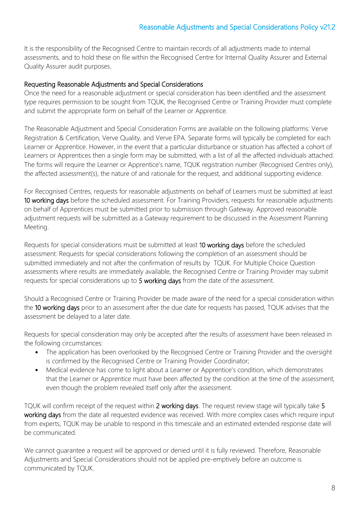It is the responsibility of the Recognised Centre to maintain records of all adjustments made to internal assessments, and to hold these on file within the Recognised Centre for Internal Quality Assurer and External Quality Assurer audit purposes.

#### Requesting Reasonable Adjustments and Special Considerations

Once the need for a reasonable adjustment or special consideration has been identified and the assessment type requires permission to be sought from TQUK, the Recognised Centre or Training Provider must complete and submit the appropriate form on behalf of the Learner or Apprentice.

The Reasonable Adjustment and Special Consideration Forms are available on the following platforms: Verve Registration & Certification, Verve Quality, and Verve EPA. Separate forms will typically be completed for each Learner or Apprentice. However, in the event that a particular disturbance or situation has affected a cohort of Learners or Apprentices then a single form may be submitted, with a list of all the affected individuals attached. The forms will require the Learner or Apprentice's name, TQUK registration number (Recognised Centres only), the affected assessment(s), the nature of and rationale for the request, and additional supporting evidence.

For Recognised Centres, requests for reasonable adjustments on behalf of Learners must be submitted at least 10 working days before the scheduled assessment. For Training Providers, requests for reasonable adjustments on behalf of Apprentices must be submitted prior to submission through Gateway. Approved reasonable adjustment requests will be submitted as a Gateway requirement to be discussed in the Assessment Planning Meeting.

Requests for special considerations must be submitted at least 10 working days before the scheduled assessment. Requests for special considerations following the completion of an assessment should be submitted immediately and not after the confirmation of results by TQUK. For Multiple Choice Question assessments where results are immediately available, the Recognised Centre or Training Provider may submit requests for special considerations up to 5 working days from the date of the assessment.

Should a Recognised Centre or Training Provider be made aware of the need for a special consideration within the 10 working days prior to an assessment after the due date for requests has passed, TQUK advises that the assessment be delayed to a later date.

Requests for special consideration may only be accepted after the results of assessment have been released in the following circumstances:

- The application has been overlooked by the Recognised Centre or Training Provider and the oversight is confirmed by the Recognised Centre or Training Provider Coordinator;
- Medical evidence has come to light about a Learner or Apprentice's condition, which demonstrates that the Learner or Apprentice must have been affected by the condition at the time of the assessment, even though the problem revealed itself only after the assessment.

TQUK will confirm receipt of the request within 2 working days. The request review stage will typically take 5 working days from the date all requested evidence was received. With more complex cases which require input from experts, TQUK may be unable to respond in this timescale and an estimated extended response date will be communicated.

We cannot quarantee a request will be approved or denied until it is fully reviewed. Therefore, Reasonable Adjustments and Special Considerations should not be applied pre-emptively before an outcome is communicated by TQUK.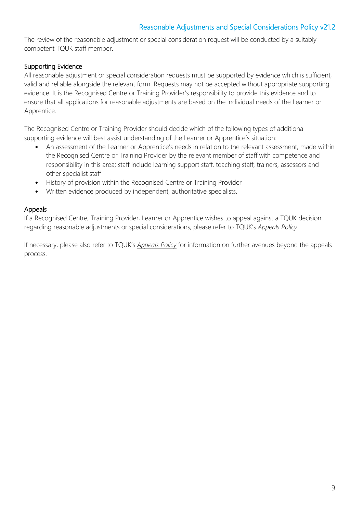The review of the reasonable adjustment or special consideration request will be conducted by a suitably competent TQUK staff member.

### Supporting Evidence

All reasonable adjustment or special consideration requests must be supported by evidence which is sufficient, valid and reliable alongside the relevant form. Requests may not be accepted without appropriate supporting evidence. It is the Recognised Centre or Training Provider's responsibility to provide this evidence and to ensure that all applications for reasonable adjustments are based on the individual needs of the Learner or Apprentice.

The Recognised Centre or Training Provider should decide which of the following types of additional supporting evidence will best assist understanding of the Learner or Apprentice's situation:

- An assessment of the Learner or Apprentice's needs in relation to the relevant assessment, made within the Recognised Centre or Training Provider by the relevant member of staff with competence and responsibility in this area; staff include learning support staff, teaching staff, trainers, assessors and other specialist staff
- History of provision within the Recognised Centre or Training Provider
- Written evidence produced by independent, authoritative specialists.

#### Appeals

If a Recognised Centre, Training Provider, Learner or Apprentice wishes to appeal against a TQUK decision regarding reasonable adjustments or special considerations, please refer to TQUK's *Appeals Policy*.

If necessary, please also refer to TQUK's *Appeals Policy* for information on further avenues beyond the appeals process.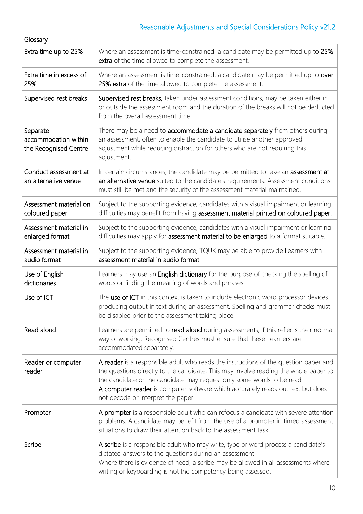| Glossary                                                  |                                                                                                                                                                                                                                                                                                                                                                                 |
|-----------------------------------------------------------|---------------------------------------------------------------------------------------------------------------------------------------------------------------------------------------------------------------------------------------------------------------------------------------------------------------------------------------------------------------------------------|
| Extra time up to 25%                                      | Where an assessment is time-constrained, a candidate may be permitted up to 25%<br>extra of the time allowed to complete the assessment.                                                                                                                                                                                                                                        |
| Extra time in excess of<br>25%                            | Where an assessment is time-constrained, a candidate may be permitted up to over<br>25% extra of the time allowed to complete the assessment.                                                                                                                                                                                                                                   |
| Supervised rest breaks                                    | Supervised rest breaks, taken under assessment conditions, may be taken either in<br>or outside the assessment room and the duration of the breaks will not be deducted<br>from the overall assessment time.                                                                                                                                                                    |
| Separate<br>accommodation within<br>the Recognised Centre | There may be a need to accommodate a candidate separately from others during<br>an assessment, often to enable the candidate to utilise another approved<br>adjustment while reducing distraction for others who are not requiring this<br>adjustment.                                                                                                                          |
| Conduct assessment at<br>an alternative venue             | In certain circumstances, the candidate may be permitted to take an assessment at<br>an alternative venue suited to the candidate's requirements. Assessment conditions<br>must still be met and the security of the assessment material maintained.                                                                                                                            |
| Assessment material on<br>coloured paper                  | Subject to the supporting evidence, candidates with a visual impairment or learning<br>difficulties may benefit from having assessment material printed on coloured paper.                                                                                                                                                                                                      |
| Assessment material in<br>enlarged format                 | Subject to the supporting evidence, candidates with a visual impairment or learning<br>difficulties may apply for assessment material to be enlarged to a format suitable.                                                                                                                                                                                                      |
| Assessment material in<br>audio format                    | Subject to the supporting evidence, TQUK may be able to provide Learners with<br>assessment material in audio format.                                                                                                                                                                                                                                                           |
| Use of English<br>dictionaries                            | Learners may use an English dictionary for the purpose of checking the spelling of<br>words or finding the meaning of words and phrases.                                                                                                                                                                                                                                        |
| Use of ICT                                                | The use of ICT in this context is taken to include electronic word processor devices<br>producing output in text during an assessment. Spelling and grammar checks must<br>be disabled prior to the assessment taking place.                                                                                                                                                    |
| Read aloud                                                | Learners are permitted to read aloud during assessments, if this reflects their normal<br>way of working. Recognised Centres must ensure that these Learners are<br>accommodated separately.                                                                                                                                                                                    |
| Reader or computer<br>reader                              | A reader is a responsible adult who reads the instructions of the question paper and<br>the questions directly to the candidate. This may involve reading the whole paper to<br>the candidate or the candidate may request only some words to be read.<br>A computer reader is computer software which accurately reads out text but does<br>not decode or interpret the paper. |
| Prompter                                                  | A prompter is a responsible adult who can refocus a candidate with severe attention<br>problems. A candidate may benefit from the use of a prompter in timed assessment<br>situations to draw their attention back to the assessment task.                                                                                                                                      |
| Scribe                                                    | A scribe is a responsible adult who may write, type or word process a candidate's<br>dictated answers to the questions during an assessment.<br>Where there is evidence of need, a scribe may be allowed in all assessments where<br>writing or keyboarding is not the competency being assessed.                                                                               |